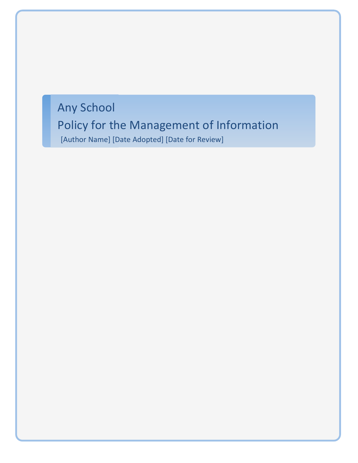Any School Policy for the Management of Information [Author Name] [Date Adopted] [Date for Review]

MGL/SH/06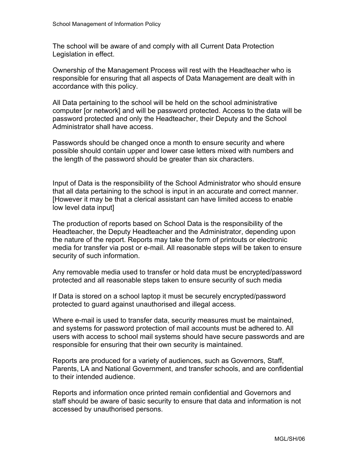The school will be aware of and comply with all Current Data Protection Legislation in effect.

Ownership of the Management Process will rest with the Headteacher who is responsible for ensuring that all aspects of Data Management are dealt with in accordance with this policy.

All Data pertaining to the school will be held on the school administrative computer [or network] and will be password protected. Access to the data will be password protected and only the Headteacher, their Deputy and the School Administrator shall have access.

Passwords should be changed once a month to ensure security and where possible should contain upper and lower case letters mixed with numbers and the length of the password should be greater than six characters.

Input of Data is the responsibility of the School Administrator who should ensure that all data pertaining to the school is input in an accurate and correct manner. [However it may be that a clerical assistant can have limited access to enable low level data input]

The production of reports based on School Data is the responsibility of the Headteacher, the Deputy Headteacher and the Administrator, depending upon the nature of the report. Reports may take the form of printouts or electronic media for transfer via post or e-mail. All reasonable steps will be taken to ensure security of such information.

Any removable media used to transfer or hold data must be encrypted/password protected and all reasonable steps taken to ensure security of such media

If Data is stored on a school laptop it must be securely encrypted/password protected to guard against unauthorised and illegal access.

Where e-mail is used to transfer data, security measures must be maintained, and systems for password protection of mail accounts must be adhered to. All users with access to school mail systems should have secure passwords and are responsible for ensuring that their own security is maintained.

Reports are produced for a variety of audiences, such as Governors, Staff, Parents, LA and National Government, and transfer schools, and are confidential to their intended audience.

Reports and information once printed remain confidential and Governors and staff should be aware of basic security to ensure that data and information is not accessed by unauthorised persons.